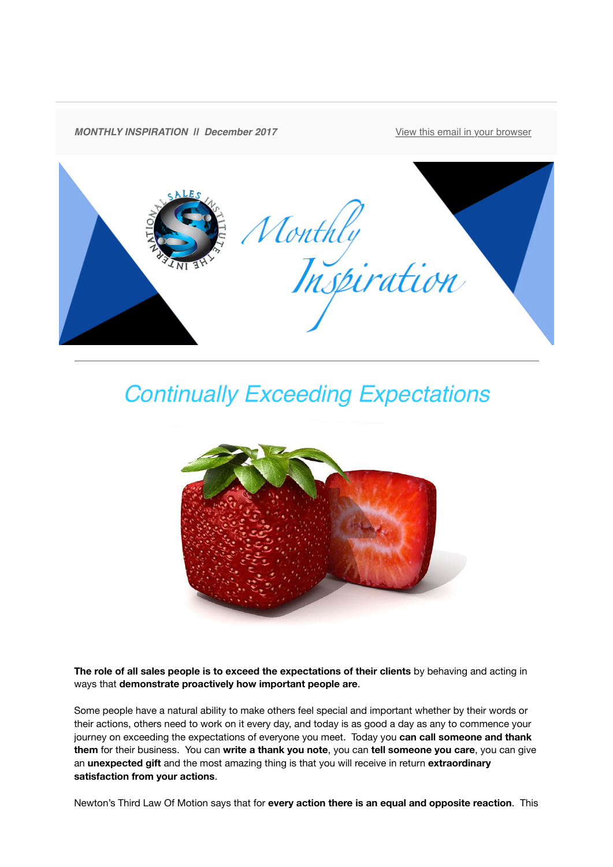

## *Continually Exceeding Expectations*



**The role of all sales people is to exceed the expectations of their clients** by behaving and acting in ways that **demonstrate proactively how important people are**.

Some people have a natural ability to make others feel special and important whether by their words or their actions, others need to work on it every day, and today is as good a day as any to commence your journey on exceeding the expectations of everyone you meet. Today you **can call someone and thank them** for their business. You can **write a thank you note**, you can **tell someone you care**, you can give an **unexpected gift** and the most amazing thing is that you will receive in return **extraordinary satisfaction from your actions**.

Newton's Third Law Of Motion says that for **every action there is an equal and opposite reaction**. This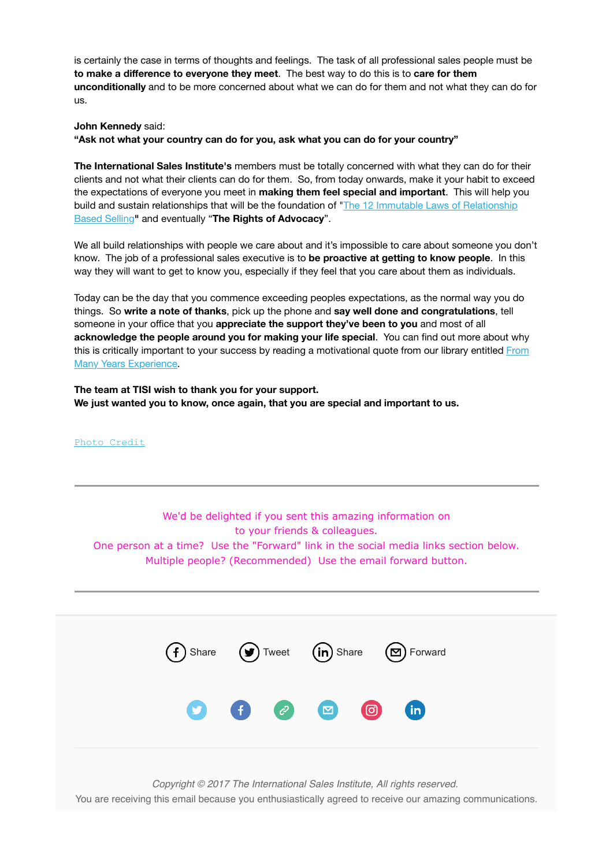is certainly the case in terms of thoughts and feelings. The task of all professional sales people must be **to make a difference to everyone they meet**. The best way to do this is to **care for them unconditionally** and to be more concerned about what we can do for them and not what they can do for us.

## **John Kennedy** said:

**"Ask not what your country can do for you, ask what you can do for your country"**

**The International Sales Institute's** members must be totally concerned with what they can do for their clients and not what their clients can do for them. So, from today onwards, make it your habit to exceed the expectations of everyone you meet in **making them feel special and important**. This will help you [build and sustain relationships that will be the foundation of "The 12 Immutable Laws of Relationship](https://theinternationalsalesinstitute.us11.list-manage.com/track/click?u=933b80e7a2e18bb216f31e81e&id=086fc17bf3&e=9f87e78b41) Based Selling**"** and eventually "**The Rights of Advocacy**".

We all build relationships with people we care about and it's impossible to care about someone you don't know. The job of a professional sales executive is to **be proactive at getting to know people**. In this way they will want to get to know you, especially if they feel that you care about them as individuals.

Today can be the day that you commence exceeding peoples expectations, as the normal way you do things. So **write a note of thanks**, pick up the phone and **say well done and congratulations**, tell someone in your office that you **appreciate the support they've been to you** and most of all **acknowledge the people around you for making your life special**. You can find out more about why [this is critically important to your success by reading a motivational quote from our library entitled From](https://theinternationalsalesinstitute.us11.list-manage.com/track/click?u=933b80e7a2e18bb216f31e81e&id=972112719a&e=9f87e78b41) Many Years Experience.

**The team at TISI wish to thank you for your support. We just wanted you to know, once again, that you are special and important to us.**

[Photo Credit](https://theinternationalsalesinstitute.us11.list-manage.com/track/click?u=933b80e7a2e18bb216f31e81e&id=20b6c7f553&e=9f87e78b41)

We'd be delighted if you sent this amazing information on to your friends & colleagues. One person at a time? Use the "Forward" link in the social media links section below. Multiple people? (Recommended) Use the email forward button.

| $\bullet$ $\bullet$ $\bullet$ $\bullet$ $\bullet$ $\bullet$ |  | (f) Share (b) Tweet (in) Share (c) Forward |
|-------------------------------------------------------------|--|--------------------------------------------|
|                                                             |  |                                            |

*Copyright © 2017 The International Sales Institute, All rights reserved.*

You are receiving this email because you enthusiastically agreed to receive our amazing communications.